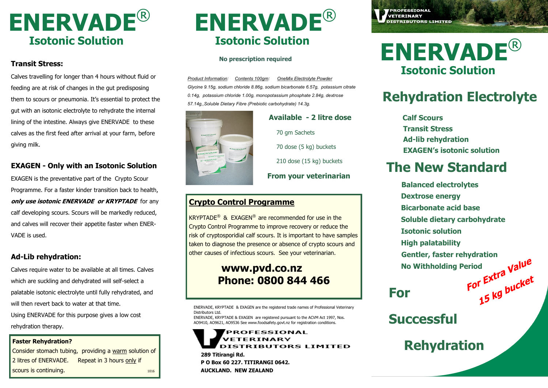

### **Transit Stress:**

Calves travelling for longer than 4 hours without fluid or feeding are at risk of changes in the gut predisposing them to scours or pneumonia. It's essential to protect the gut with an isotonic electrolyte to rehydrate the internal lining of the intestine. Always give ENERVADE to these calves as the first feed after arrival at your farm, before giving milk.

### **EXAGEN - Only with an Isotonic Solution**

EXAGEN is the preventative part of the Crypto Scour Programme. For a faster kinder transition back to health, **only use isotonic ENERVADE or KRYPTADE** for any calf developing scours. Scours will be markedly reduced, and calves will recover their appetite faster when ENER-VADE is used.

### **Ad-Lib rehydration:**

Calves require water to be available at all times. Calves which are suckling and dehydrated will self-select a palatable isotonic electrolyte until fully rehydrated, and will then revert back to water at that time. Using ENERVADE for this purpose gives a low cost rehydration therapy.

Consider stomach tubing, providing a warm solution of 2 litres of ENERVADE. Repeat in 3 hours only if scours is continuing.

# **ENERVADE**® **Isotonic Solution**

#### **No prescription required**

*Product Information: Contents 100gm: OneMix Electrolyte Powder Glycine 9.15g, sodium chloride 8.86g, sodium bicarbonate 6.57g, potassium citrate 0.14g, potassium chloride 1.00g, monopotassium phosphate 2.84g, dextrose 57.14g,,Soluble Dietary Fibre (Prebiotic carbohydrate) 14.3g.* 



### **Available - 2 litre dose** 70 gm Sachets 70 dose (5 kg) buckets 210 dose (15 kg) buckets **From your veterinarian**

### **Crypto Control Programme**

taken to diagnose the presence or absence of crypto scours and KRYPTADE® & EXAGEN® are recommended for use in the Crypto Control Programme to improve recovery or reduce the risk of cryptosporidial calf scours. It is important to have samples other causes of infectious scours. See your veterinarian.

### **www.pvd.co.nz Phone: 0800 844 466**

ENERVADE, KRYPTADE & EXAGEN are the registered trade names of Professional Veterinary Distributors Ltd.

ENERVADE, KRYPTADE & EXAGEN are registered pursuant to the ACVM Act 1997, Nos. AO9410, AO9621, AO9536 See www.foodsafety.govt.nz for registration conditions.

### PROFESSIONAL **Easter Rehydration? Rehydration Rehydration Rehydration**

**289 Titirangi Rd. P O Box 60 227. TITIRANGI 0642. AUCKLAND. NEW ZEALAND**

**PROFESSIONAL VETERINARY DISTRIBUTORS LIMITED** 

# **ENERVADE**® **Isotonic Solution**

## **Rehydration Electrolyte**

 **Calf Scours Transit Stress Ad-lib rehydration EXAGEN's isotonic solution**

## **The New Standard**

**Balanced electrolytes Dextrose energy Bicarbonate acid base Soluble dietary carbohydrate Isotonic solution High palatability Gentler, faster rehydration<br>
No Withholding Period<br>
<b>For Extra** *Malue*<br> **Por Extra** *Mulcket*  **No Withholding Period**

## **For**

### **Successful**